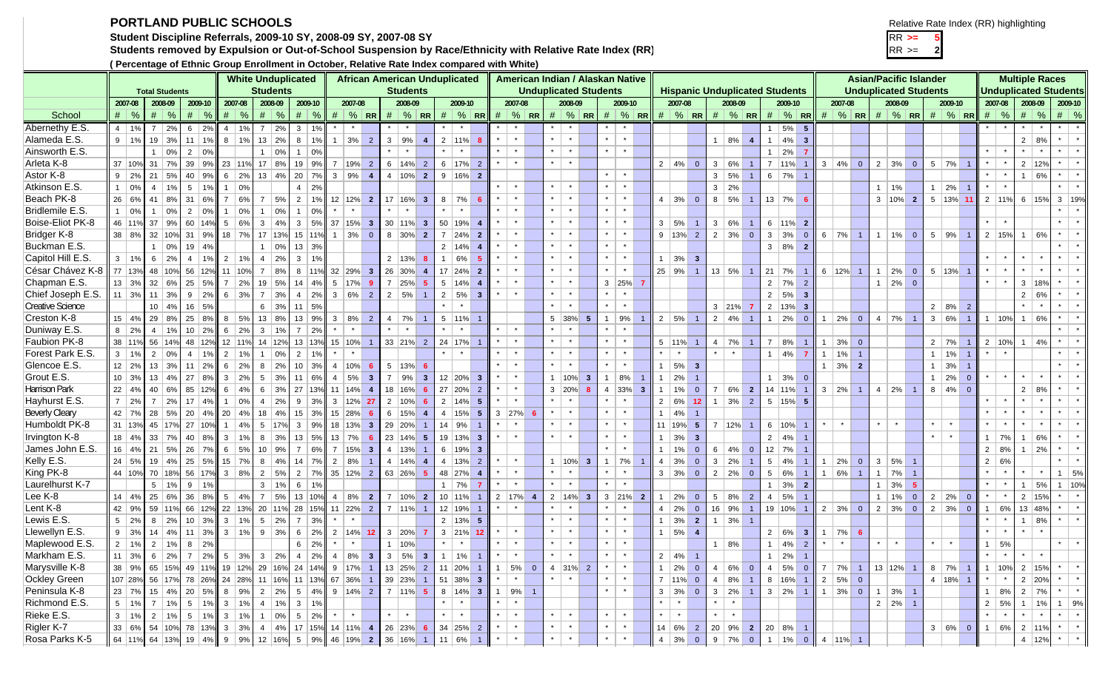## **PORTLAND PUBLIC SCHOOLS**

**Student Discipline Referrals, 2009-10 SY, 2008-09 SY, 2007-08 SY** RR **>= 5**

**Students removed by Expulsion or Out-of-School Suspension by Race/Ethnicity with Relative Rate Index (RR)** RR >= **<sup>2</sup>**

**( Percentage of Ethnic Group Enrollment in October, Relative Rate Index compared with White)**

| Relative Rate Index (RR) highlighting |  |
|---------------------------------------|--|
|---------------------------------------|--|

|                         | <b>White Unduplicated</b><br><b>Students</b><br><b>Total Students</b> |                 |               |                 |              |                |               |                  |                  |                 |                  |                 |                       |                         |                 |                        |                |                  | <b>African American Unduplicated</b> |                |         |                      |                |         |                   |                 | American Indian / Alaskan Native |                      |                |                                         |                         |                |                 |                |                 |                      |                         |                |           |                |                | <b>Asian/Pacific Islander</b> |                         |                |               |                |         |                          |                | <b>Multiple Races</b>        |                |         |
|-------------------------|-----------------------------------------------------------------------|-----------------|---------------|-----------------|--------------|----------------|---------------|------------------|------------------|-----------------|------------------|-----------------|-----------------------|-------------------------|-----------------|------------------------|----------------|------------------|--------------------------------------|----------------|---------|----------------------|----------------|---------|-------------------|-----------------|----------------------------------|----------------------|----------------|-----------------------------------------|-------------------------|----------------|-----------------|----------------|-----------------|----------------------|-------------------------|----------------|-----------|----------------|----------------|-------------------------------|-------------------------|----------------|---------------|----------------|---------|--------------------------|----------------|------------------------------|----------------|---------|
|                         |                                                                       |                 |               |                 |              |                |               |                  |                  |                 |                  |                 |                       |                         |                 | <b>Students</b>        |                |                  |                                      |                |         |                      |                |         |                   |                 | <b>Unduplicated Students</b>     |                      |                | <b>Hispanic Unduplicated Students</b>   |                         |                |                 |                |                 |                      |                         |                |           |                |                | <b>Unduplicated Students</b>  |                         |                |               |                |         |                          |                | <b>Unduplicated Students</b> |                |         |
|                         | 2007-08                                                               |                 | 2008-09       | 2009-10         |              |                | 2007-08       |                  | 2008-09          |                 | 2009-10          |                 | 2007-08               |                         |                 | 2008-09                |                |                  | 2009-10                              |                |         | 2007-08              |                |         | 2008-09           |                 |                                  | 2009-10              |                | 2007-08                                 |                         |                | 2008-09         |                |                 | 2009-10              |                         |                | 2007-08   |                |                | 2008-09                       |                         |                | 2009-10       |                |         | 2007-08                  | 2008-09        |                              | 2009-10        |         |
| School                  | $\#$ %                                                                | #               | $\frac{6}{2}$ | $\#$ \ %        |              | #              | $\frac{1}{2}$ |                  | $# \,   \, %$    |                 | $# \,   \, %$    |                 |                       | $\#$ % RR               |                 |                        | $\#$ % RR      |                  | #  % R R                             |                |         |                      | $\#$ % RR      |         |                   |                 |                                  |                      |                | $\#$ % RR $\#$ % RR $\#$ % RR $\#$ % RR |                         |                | $\#$ % RR       |                |                 | #  % R R             |                         |                |           |                |                | $\#$ % RR $\#$ % RR $\#$ % RR |                         |                |               |                |         | $\#$ %                   | #              | $\%$                         | $\#$ %         |         |
| Abernethy E.S.          | $4 \mid 1\%$                                                          | $\overline{7}$  | 2%            | 6 <sup>1</sup>  | 2%           | 4 <sup>1</sup> | 1%            | $7^{\circ}$      | $\overline{2\%}$ | 3               |                  |                 |                       |                         |                 |                        |                |                  |                                      |                |         |                      |                |         |                   |                 |                                  |                      |                |                                         |                         |                |                 |                | $\mathbf{1}$    | 5%                   | $5\overline{5}$         |                |           |                |                |                               |                         |                |               |                |         |                          |                |                              |                |         |
| Alameda E.S.            | $9 \mid 1\%$                                                          | 19              | 3%            | 11 <sup>1</sup> | 1%           |                | $8 \mid 1\%$  | 13               | 2%               | 8 <sup>1</sup>  | 1%               | 1               | 3%                    | $\overline{2}$          | $\mathbf{3}$    | 9%                     | $\overline{4}$ |                  | $2 \mid 11\%$                        |                |         | $\star$              |                | $\star$ | $\star$           |                 |                                  | $\star$              |                |                                         |                         |                | 1   8%          |                | $\overline{1}$  | 4%                   | $\overline{\mathbf{3}}$ |                |           |                |                |                               |                         |                |               |                |         |                          | $\overline{2}$ | 8%                           |                |         |
| Ainsworth E.S.          |                                                                       | $\overline{1}$  | 0%            |                 | $2 \mid 0\%$ |                |               |                  | $1 \mid 0\%$     | 1               | 0%               |                 |                       |                         |                 | $\star$                |                | $\star$          | $\star$                              |                |         | $\star$              |                | $\star$ | $\star$           |                 | $\star$                          | $\star$              |                |                                         |                         |                |                 |                | $\mathbf{1}$    | 2%                   | $\overline{7}$          |                |           |                |                |                               |                         |                |               |                |         |                          | $\star$        |                              |                |         |
| Arleta K-8              | 37 10%                                                                | 31              | 7%            | 39              | 9%           |                | 23 11%        | 17 <sup>17</sup> | 8%               |                 | 19 9%            |                 | 7   19%               | $\overline{2}$          | 6               | 14%                    | 2              |                  | $6$   17%                            |                |         | $\star$              |                | $\star$ | $\star$           |                 |                                  |                      |                | $2 \mid 4\%$                            | $\overline{0}$          | 3 <sup>1</sup> | 6%              |                | $\overline{7}$  | 11%                  |                         | $3   4\%  $    |           | $\overline{0}$ |                | $2 \mid 3\%$                  | $\overline{0}$          |                | $5 \mid 7\%$  |                |         |                          | $\overline{2}$ | 12%                          |                |         |
| Astor K-8               | 9   2%                                                                | 21              | 5%            | 40              | 9%           | 6              | 2%            | 13               | 4%               | 20              | 7%               |                 | 3   9%                | $\overline{4}$          |                 | $4   10\%  $           | $\overline{2}$ |                  | $9 16\% 2$                           |                |         |                      |                |         |                   |                 |                                  | $\star$              |                |                                         |                         |                | $3 \mid 5\%$    |                |                 | $6 \mid 7\%$         | $\overline{1}$          |                |           |                |                |                               |                         |                |               |                | $\star$ |                          |                | 6%                           |                |         |
| Atkinson E.S.           | $ 0\%$<br>$\mathbf{1}$                                                | $\overline{4}$  | 1%            | 5 <sup>1</sup>  | 1%           |                | 0%            |                  |                  | $\overline{4}$  | 2%               |                 |                       |                         |                 |                        |                |                  |                                      |                |         | $\star$              |                |         | $\star$           |                 |                                  | $\star$              |                |                                         |                         |                | $3 \mid 2\%$    |                |                 |                      |                         |                |           |                |                | $1 \mid 1\%$                  |                         | 1              | 2%            |                |         |                          |                |                              |                |         |
| Beach PK-8              | 26 6%                                                                 | 41              | 8%            | 31   6%         |              | $\overline{7}$ | 6%            | $7^{\circ}$      | 5%               | $\overline{2}$  | 1%               |                 | $12 \mid 12\% \mid 2$ |                         |                 | 17   16%               | $\mathbf{3}$   | 8                | 7%                                   |                |         | $\star$              |                | $\star$ | $\star$           |                 |                                  | $\star$              |                | $4   3\%  $                             | $\overline{0}$          |                | $8 \mid 5\%$    |                |                 | $13 \mid 7\% \mid 6$ |                         |                |           |                |                | $3 10\% 2$                    |                         |                | $5$ 13% 11    |                |         | 2 11%                    |                | 6 15%                        | $3 \mid 19\%$  |         |
| Bridlemile E.S.         | $1 \ 0\%$                                                             |                 | 0%            |                 | $2 \mid 0\%$ | 1              | 0%            | $\mathbf{1}$     | 0%               | 1               | 0%               |                 |                       |                         |                 |                        |                |                  |                                      |                |         |                      |                | $\star$ | $\star$           |                 |                                  | $\star$              |                |                                         |                         |                |                 |                |                 |                      |                         |                |           |                |                |                               |                         |                |               |                |         |                          |                |                              |                |         |
| Boise-Eliot PK-8        | 46 11%                                                                | 37              | 9%            |                 | 60 14%       | 5 <sup>1</sup> | 6%            |                  | $3 \mid 4\%$     |                 | $3 \mid 5\%$     | $37   15\%   3$ |                       |                         |                 | 30   11%               | $\mathbf{3}$   | 50               | 19%                                  |                |         | $\star$              |                | $\star$ | $\star$           |                 | $\star$                          | $\star$              |                | $3 \mid 5\%$                            | $\overline{1}$          |                | 3   6%          |                |                 | 6 11% 2              |                         |                |           |                |                |                               |                         |                |               |                | $\star$ |                          |                |                              |                |         |
| Bridger K-8             | 38 8%                                                                 |                 | 32 10%        |                 | 31   9%      |                | 18 7%         |                  | 17   13%         |                 | 15 11%           |                 | $1   3\%$             | $\overline{0}$          |                 | 8 30%                  | $\overline{2}$ |                  | $7 \ 24\%$ 2                         |                |         |                      |                | $\star$ | $\star$           |                 |                                  | $\star$              |                | 9   13%                                 | $\overline{2}$          |                | $2 \mid 3\%$    | $\overline{0}$ | $\mathbf{3}$    | 3%                   | $\overline{0}$          | 6   7%         |           | $\overline{1}$ |                | $1   1\%$                     | $\overline{0}$          |                | $5 \mid 9\%$  |                |         | 2 15%                    | 1              | 6%                           |                |         |
| Buckman E.S.            |                                                                       | $\overline{1}$  | 0%            |                 | 19 4%        |                |               |                  | $1 \ 0\%$        |                 | $13 \mid 3\%$    |                 |                       |                         |                 |                        |                |                  | $2 \mid 14\% \mid$                   |                |         | $\star$              |                | $\star$ | $\star$           |                 |                                  | $\star$              |                |                                         |                         |                |                 |                |                 | 3   8%               | $\overline{\mathbf{2}}$ |                |           |                |                |                               |                         |                |               |                |         |                          |                |                              |                |         |
| Capitol Hill E.S        | $3 \mid 1\%$                                                          |                 | $6 \mid 2\%$  | 4               | 1%           |                | $2 \mid 1\%$  | $\overline{4}$   | 2%               |                 | $3 \mid 1\%$     |                 |                       |                         |                 | $2 \mid 13\%$          |                | $\overline{1}$   | 6%                                   |                |         |                      |                | $\star$ | $\star$           |                 | $\star$                          | $\star$              |                | $1 \mid 3\%$                            | $\overline{\mathbf{3}}$ |                |                 |                |                 |                      |                         |                |           |                |                |                               |                         |                |               |                |         |                          |                |                              |                |         |
| César Chávez K-8        | 77 13%                                                                | 48              | 10%           | 56              | 12%          |                | 11 10%        | $7^{\circ}$      | 8%               |                 | 8 11%            | $32 29\% 3$     |                       |                         |                 | 26 30%                 |                | 17 <sup>17</sup> | 24%                                  |                |         |                      |                | $\star$ | $\star$           |                 | $\star$                          | $\star$              |                | 25 9%                                   | $\overline{1}$          |                | 13   5%         |                | 21              | 7%                   |                         |                | $6$ 12% 1 |                |                | $1 \mid 2\%$                  | $\overline{0}$          |                | $5 \mid 13\%$ |                |         |                          |                |                              |                |         |
| Chapman E.S.            | 13 3%                                                                 | 32              | 6%            | 25              | 5%           | 7 <sup>1</sup> | 2%            | 19               | 5%               | 14              | 4%               |                 | 5   17%               | $\overline{9}$          | $\overline{7}$  | 25%                    |                | 5 <sup>5</sup>   | 14% 4                                |                |         |                      |                | $\star$ | $\star$           |                 |                                  | $3 25%$ 7            |                |                                         |                         |                |                 |                | $\overline{2}$  | 7%                   | $\overline{2}$          |                |           |                |                | $1   2\%$                     | $\overline{\mathbf{0}}$ |                |               |                |         |                          | $\mathbf{3}$   | 18%                          |                |         |
| Chief Joseph E.S.       | 11   3%                                                               | 11              | 3%            |                 | 9   2%       |                | $6 \mid 3\%$  | $\overline{7}$   | 3%               | $\overline{4}$  | 2%               |                 | $3   6\%$             | $\overline{2}$          |                 | $2 \mid 5\%$           |                | $\overline{2}$   | 5%                                   | -3             |         | $\star$              |                |         | $\star$           |                 |                                  | $\star$              |                |                                         |                         |                |                 |                | $\overline{2}$  | 5%                   | $\overline{\mathbf{3}}$ |                |           |                |                |                               |                         |                |               |                |         |                          | $\overline{2}$ | 6 <sup>0</sup>               |                |         |
| <b>Creative Science</b> |                                                                       | 10 <sup>1</sup> | 4%            |                 | 16 5%        |                |               | 6                | 3%               | 11              | 5%               |                 |                       |                         |                 |                        |                |                  | $\star$                              |                |         |                      |                | $\star$ | $\star$           |                 |                                  | $\star$              |                |                                         |                         |                | 3 21%           |                | $\overline{2}$  | 13%                  | $\overline{\mathbf{3}}$ |                |           |                |                |                               |                         |                | $2   8\%$     | $\overline{2}$ |         |                          |                |                              |                |         |
| Creston K-8             | 15 4%                                                                 | 29              | 8%            | 25 8%           |              |                | $8 \mid 5\%$  | 13               | 8%               |                 | 13 9%            | $\mathbf{3}$    | 8%                    | $\overline{2}$          | $\overline{4}$  | 7%                     |                |                  | $5 \vert 11\% \vert$                 |                |         |                      |                |         | $5 \,   \, 38\%$  | $5\phantom{.0}$ |                                  | 9%                   |                | $2 \mid 5\%$                            | $\overline{1}$          |                | $2 \mid 4\%$    |                | $\mathbf{1}$    | 2%                   | $\overline{0}$          |                | 2%        | $\overline{0}$ |                | $4 \mid 7\%$                  | $\overline{1}$          |                | 3 6%          |                |         | 1   10%                  | 1              | 6%                           |                |         |
| Duniway E.S.            | $8 \mid 2\%$                                                          | $\overline{4}$  | 1%            |                 | 10 2%        | 6 <sup>1</sup> | 2%            | $\mathbf{3}$     | 1%               | $\overline{7}$  | 2%               | $\star$         |                       |                         |                 |                        |                |                  |                                      |                |         | $\star$              |                | $\star$ |                   |                 |                                  | $\star$              |                |                                         |                         |                |                 |                |                 |                      |                         |                |           |                |                |                               |                         |                |               |                |         |                          |                |                              |                |         |
| Faubion PK-8            | 38 11%                                                                |                 | 56 14%        |                 | 48 12%       |                | 12 11%        |                  | 14 12%           |                 | 13 13%           |                 | 15 10% 1              |                         |                 | $33 \ 21\% \ 2$        |                |                  | 24 17%                               |                |         | $\star$              |                |         | $\star$           |                 |                                  | $\star$              |                | 5 11%                                   | $\overline{1}$          |                | $4 \mid 7\%$    |                | $\overline{7}$  | 8%                   |                         |                | 3%        | $\overline{0}$ |                |                               |                         |                | $2 \mid 7\%$  |                |         | 2 10%                    | 1              | 4%                           |                |         |
| Forest Park E.S.        | $3 \mid 1\%$                                                          | $\overline{2}$  | 0%            |                 | $4 \mid 1\%$ |                | $2 \mid 1\%$  | 1                | 0%               | $\overline{2}$  | 1%               | $\star$         | $\star$               |                         |                 |                        |                |                  |                                      |                | $\star$ | $\star$              |                | $\star$ | $\star$           |                 |                                  | $\star$              | $\star$        | $\star$                                 |                         | $\star$        | $\star$         |                | $\mathbf{1}$    | 4%                   | $\overline{7}$          | $\mathbf{1}$   | 1%        |                |                |                               |                         | 1              | 1%            |                |         |                          |                |                              |                |         |
| Glencoe E.S.            | $12 \mid 2\%$                                                         | 13              | 3%            |                 | 11   2%      |                | $6 \mid 2\%$  | 8                | 2%               |                 | $10 \mid 3\%$    |                 | $4   10\%   6$        |                         |                 | $5 \vert 13\% \vert 6$ |                |                  |                                      |                |         | $\star$              |                | $\star$ | $\star$           |                 |                                  | $\star$              | 1              | 5%                                      | $\overline{\mathbf{3}}$ |                |                 |                |                 |                      |                         | $\mathbf{1}$   | 3%        | $\overline{2}$ |                |                               |                         | 1 <sup>1</sup> | 3%            |                |         |                          |                |                              |                |         |
| Grout E.S.              | 10 3%                                                                 | 13              | 4%            | $27$ 8%         |              | 3 <sup>1</sup> | 2%            | 5 <sup>5</sup>   | 3%               |                 | 11   6%          | $\overline{4}$  | 5%                    | $\overline{\mathbf{3}}$ | $\overline{7}$  | 9%                     | 3 <sup>1</sup> |                  | 12 20% 3                             |                |         | $\star$              |                |         | $1   10\%$        | $\mathbf{3}$    | $\overline{1}$                   | 8%                   | 1              | 2%                                      | $\overline{1}$          |                |                 |                | $\mathbf{1}$    | $3\%$ 0              |                         |                |           |                |                |                               |                         | $\overline{1}$ | 2%            | $\overline{0}$ |         |                          | ÷.             |                              |                |         |
| <b>Harrison Park</b>    | $22 \mid 4\%$                                                         | 40              | 6%            | 85              | 12%          | 6 <sup>1</sup> | 4%            | 6 <sup>1</sup>   | 3%               |                 | 27 13%           | 11 14%          |                       | $\overline{4}$          |                 | 18 16%                 |                | 27               | 20% 2                                |                |         | $\star$              |                |         | 3 20%             | $\mathbf{R}$    |                                  | $4 \mid 33\% \mid 3$ | 1              | 1%                                      | $\overline{0}$          | $\overline{7}$ | 6%              | $\overline{2}$ |                 | 14 11%               |                         | $3 \mid 2\%$   |           | $\overline{1}$ |                | $4 \mid 2\%$                  | $\overline{1}$          |                | $8 \mid 4\%$  | $\overline{0}$ |         |                          | $\overline{2}$ | 8 <sup>9</sup>               |                |         |
| Hayhurst E.S.           | 2%                                                                    | $\overline{7}$  | 2%            | 17              | 4%           |                | 0%            | $\overline{4}$   | 2%               | 9               | 3%               |                 | 3 12%                 | 27                      | $\overline{2}$  | 10%                    |                | $\overline{2}$   | 14% 5                                |                |         | $\star$              |                |         |                   |                 |                                  |                      | 2 <sup>1</sup> | 6%                                      | 12                      | 1              | 3%              | 2 <sup>2</sup> |                 | $5 15\% 5$           |                         |                |           |                |                |                               |                         |                |               |                |         |                          |                |                              |                |         |
| <b>Beverly Cleary</b>   | 42 7%                                                                 | 28              | 5%            | 20              | 4%           | 20             | 4%            | 18               | 4%               |                 | $15 \,   \, 3\%$ |                 | 15 28%                | $6\phantom{a}$          | $6\overline{6}$ | 15%                    |                | $\overline{4}$   | $15%$ 5                              |                |         | $3 27%$ 6            |                |         | $\star$           |                 |                                  | $\star$              | 1              | 4%                                      | $\overline{1}$          |                |                 |                |                 |                      |                         |                |           |                |                |                               |                         |                |               |                | $\star$ |                          |                |                              |                |         |
| Humboldt PK-8           | 31 13%                                                                | 45              | 17%           |                 | 27 10%       | $\mathbf{1}$   | 4%            | $5\overline{)}$  | 17%              | 3 <sup>1</sup>  | 9%               |                 | 18   13%              | $\bullet$               |                 | 29 20%                 |                | 14               | 9%                                   |                |         |                      |                |         | $\star$           |                 |                                  | $\star$              |                | 11   19%                                | 5 <sub>5</sub>          |                | 7   12%         |                |                 | $6 10\% $            |                         |                |           |                |                | $\star$                       |                         |                |               |                |         |                          |                |                              |                |         |
| <b>Irvington K-8</b>    | $18$ 4%                                                               | 33              | 7%            | 40              | 8%           | $\mathbf{3}$   | 1%            | 8                | 3%               |                 | 13 5%            |                 | 13   7%               | $6\overline{6}$         |                 | 23 14%                 | - 5            |                  | 19 13% 3                             |                |         | $\star$              |                | $\star$ | $\star$           |                 | $\star$                          | $\star$              | 1              | 3%                                      | $\overline{\mathbf{3}}$ |                |                 |                |                 | 2 4%                 | $\overline{1}$          |                |           |                |                |                               |                         |                |               |                |         | $1 \mid 7\%$             | 1              | 6%                           |                |         |
| James John E.S.         | 16 4%                                                                 | 21              | 5%            | 26              | 7%           | 6 <sup>1</sup> | 5%            | 10               | 9%               | $\overline{7}$  | 6%               | $\overline{7}$  | 15%                   | $\overline{\mathbf{3}}$ |                 | 4   13%                |                |                  | 6 19% 3                              |                |         |                      |                |         |                   |                 |                                  | $\star$              | 1              | 1%                                      | $\overline{0}$          |                | $6 \mid 4\%$    | $\overline{0}$ | 12              | 7%                   |                         |                |           |                |                |                               |                         |                |               |                |         | $2 \mid 8\%$             |                | 2%                           |                |         |
| Kelly E.S.              | $24 \mid 5\%$                                                         | 19              | 4%            | 25              | 5%           |                | 15 7%         |                  | $8 \mid 4\%$     | 14              | 7%               | 2               | 8%                    | $\overline{1}$          |                 | 4   14%                | $\overline{4}$ | $\overline{4}$   | $ 13\% $                             | $\overline{2}$ |         | $\star$              |                |         | $1 \mid 10\%$ 3   |                 | $\overline{1}$                   | 7%                   | 4 <sup>1</sup> | 3%                                      | $\overline{0}$          | 3 <sup>1</sup> | 2%              |                | $5\overline{)}$ | 4%                   |                         |                | 2%        | $\overline{0}$ |                | $3 \mid 5\%$                  |                         |                |               |                |         | 2   6%                   |                |                              |                |         |
| King PK-8               | 44 10%                                                                |                 | 70 18%        |                 | 56 17%       |                | $3 \mid 8\%$  | $\overline{2}$   | 5%               | 2               | 7%               | 35 12% 2        |                       |                         |                 | 63 26%                 |                |                  | 48 27% 4                             |                |         | $\star$              |                | $\star$ | $\star$           |                 | $\star$                          | $\star$              |                | $3 \mid 3\%$                            | $\overline{0}$          |                | $2 \mid 2\%$    | $\overline{0}$ | $5\phantom{.0}$ | 6%                   |                         |                | 6%        | $\overline{1}$ |                | $1 \mid 7\%$                  |                         |                |               |                |         |                          |                |                              | 1              | 5%      |
| Laurelhurst K-7         |                                                                       | $5-1$           | 1%            |                 | $9 \mid 1\%$ |                |               | $\mathbf{3}$     | 1%               | 6               | 1%               |                 |                       |                         |                 |                        |                | $\overline{1}$   | 7%                                   |                |         | $\star$              |                | $\star$ | $\star$           |                 |                                  | $\star$              |                |                                         |                         |                |                 |                | $\mathbf{1}$    | 3%                   | $\overline{2}$          |                |           |                | 1 <sup>1</sup> | 3%                            |                         |                |               |                |         |                          |                | 5%                           |                | 1   10% |
| Lee K-8                 | $14 \mid 4\%$                                                         | 25              | 6%            | 36              | 8%           |                | $5 \mid 4\%$  |                  | $7 \mid 5\%$     |                 | 13 10%           |                 | $4   8\%  $           | $\overline{2}$          |                 | 7 10%                  | $\overline{2}$ | 10 <sup>1</sup>  | 11%                                  |                |         | $2 \mid 17\% \mid 4$ |                |         | 2   14%           | 3 <sup>1</sup>  |                                  | $3$ 21% 2            | 1              | 2%                                      | $\overline{0}$          |                | $5 \,   \, 8\%$ |                | $\overline{4}$  | 5%                   |                         |                |           |                |                | $1 \mid 1\%$                  | $\overline{\mathbf{0}}$ | $\overline{2}$ | 2%            | $\overline{0}$ | $\star$ |                          | $\overline{2}$ | 15%                          |                |         |
| Lent K-8                | 42<br>9%                                                              | 59              | 11%           | 66              | 12%          |                | 22 13%        |                  | 20 119           |                 | 28 15%           | 11 22%          |                       | $\overline{2}$          |                 | 7 11%                  |                | 12               | 19%                                  |                |         |                      |                | $\star$ |                   |                 | $\star$                          |                      | $\overline{4}$ | 2%                                      | $\overline{0}$          |                | 16 9%           |                |                 | 19 10%               |                         | $2 \mid 3\%$   |           | $\overline{0}$ |                | $2 \mid 3\%$                  | $\overline{0}$          | 2 <sup>1</sup> | 3%            | $\overline{0}$ |         | 1   6%                   | 13             | 48%                          |                |         |
| Lewis E.S.              | $5 \mid 2\%$                                                          | 8               | 2%            | 10 <sup>1</sup> | 3%           |                | $3 \mid 1\%$  | 5 <sup>5</sup>   | 2%               | $\overline{7}$  | 3%               |                 |                       |                         |                 |                        |                |                  | $2 \mid 13\% \mid 5$                 |                |         |                      |                | $\star$ | $\star$           |                 |                                  | $\star$              | 1 <sup>1</sup> | 3%                                      | $\overline{2}$          |                | $1 \ 3\%$       |                |                 |                      |                         |                |           |                |                |                               |                         |                |               |                | $\star$ |                          | $\mathbf{1}$   | 8%                           |                |         |
| Llewellyn E.S.          | $9 \mid 3\%$                                                          | 14              | 4%            |                 | 11   3%      |                | $3 \mid 1\%$  | 9                | 3%               | $6\overline{6}$ | 2%               | $\overline{2}$  | 14%                   | 12                      |                 | 3 20%                  |                |                  | $3$ 21% 12                           |                |         |                      |                |         | $\star$           |                 |                                  | $\star$              | $\mathbf{1}$   | 5%                                      | $\overline{4}$          |                |                 |                | $\overline{2}$  | 6%                   | $\overline{\mathbf{3}}$ | $\mathbf{1}$   | 7%        | 6              |                |                               |                         |                |               |                | $\star$ |                          |                |                              |                |         |
| Maplewood E.S.          | $2 \mid 1\%$                                                          | $\overline{2}$  | 1%            |                 | $8 \mid 2\%$ |                |               |                  |                  | $6\overline{6}$ | 2%               | $\star$         |                       |                         |                 | 1   10%                |                |                  |                                      |                |         | $\star$              |                | $\star$ | $\star$           |                 |                                  | $\star$              |                |                                         |                         |                | 1   8%          |                | $\mathbf{1}$    | 4%                   | $\overline{2}$          |                |           |                | $\star$        |                               |                         |                |               |                |         | $1 \ 5\%$                |                |                              |                |         |
| Markham E.S.            | $11 \ 3%$                                                             | 6               | 2%            |                 | $7 \mid 2\%$ |                | $5 \mid 3\%$  |                  | $3 \mid 2\%$     | $\overline{4}$  | 2%               | $\overline{4}$  | 8%                    | $\overline{\mathbf{3}}$ | 3 <sup>1</sup>  | 5%                     | 3 <sup>1</sup> | $\mathbf{1}$     | 1%                                   |                |         | $\star$              |                |         |                   |                 |                                  | $\star$              |                | $2 \mid 4\%$                            |                         |                |                 |                | $\mathbf{1}$    | 2%                   |                         |                |           |                |                |                               |                         |                |               |                |         |                          |                |                              |                |         |
| Marysville K-8          | 38 9%                                                                 | 65              | 15%           |                 | 49 119       |                | 19 12%        | 29               | 16%              |                 | 24 14%           |                 | 9   17%               | $\overline{1}$          |                 | 13 25%                 | 2              |                  | 11 20%                               |                |         | 1   5%               | $\overline{0}$ |         | $4 \times 31\%$ 2 |                 |                                  | $\star$              | 1 <sup>1</sup> | 2%                                      | $\overline{0}$          | 4              | 6%              |                | $\overline{4}$  | 5%                   | $\Omega$                | $7^{\circ}$    | 7%        | $\overline{1}$ |                | 13 12% 1                      |                         |                | $8 \mid 7\%$  |                |         | $1 \mid 10$ <sup>9</sup> | 2 15%          |                              |                |         |
| <b>Ockley Green</b>     | 107 28%                                                               | 56              | 17%           |                 | 78 26%       |                | 24 28%        |                  | 11 169           |                 | 11 13%           | 67 36%          |                       | $\overline{1}$          |                 | 39 23%                 |                | 51               | 38% 3                                |                |         | $\star$              |                |         |                   |                 |                                  | $\star$              |                | 7 11%                                   | $\overline{0}$          | $\overline{4}$ | 8%              |                | 8               | 16%                  |                         | $\overline{2}$ | 5%        | $\overline{0}$ |                |                               |                         |                | $4 \mid 18\%$ |                |         |                          | 2 20%          |                              |                |         |
| Peninsula K-8           | $23 \mid 7\%$                                                         | 15              | 4%            |                 | 20 5%        | 8 <sup>1</sup> | 9%            | $2^{\circ}$      | 2%               | 5               | 4%               |                 | $9 14\% 2$            |                         |                 | $7$ 11% 5              |                |                  | $8 14\% 3$                           |                | 1       | 9%                   | $\overline{1}$ |         |                   |                 | $\star$                          | $\star$              |                | $3 \mid 3\%$                            | $\overline{0}$          |                | $3 \mid 2\%$    |                |                 | $3   2\%$            |                         | $\mathbf{1}$   | 3%        | $\overline{0}$ |                | $1 \mid 3\%$                  | $\overline{1}$          |                |               |                |         | $1 \mid 8\%$             | $\overline{2}$ | 7%                           |                | $\star$ |
| Richmond E.S.           | $5 \mid 1\%$                                                          | 7 <sup>1</sup>  | 1%            |                 | $5 \mid 1\%$ |                | $3 \mid 1\%$  | $\overline{4}$   | 1%               | $\mathbf{3}$    | 1%               |                 |                       |                         |                 |                        |                |                  | $\star$                              |                |         | $\star$              |                |         |                   |                 |                                  |                      |                | $\star$                                 |                         | $\star$        | $\star$         |                |                 |                      |                         |                |           |                |                | $2 \mid 2\%$                  |                         |                |               |                |         | $2 \mid 5\%$             | 1              | 1%                           | 1 <sup>1</sup> | 9%      |
| Rieke E.S.              | $\mathbf{3}$<br>1%                                                    | 2               | 1%            | 5 <sup>1</sup>  | 1%           | 3 <sup>1</sup> | 1%            | 1                | 0%               | 5 <sup>5</sup>  | 2%               | $\star$         | $\star$               |                         |                 | $\star$                |                |                  | $\star$                              |                | $\star$ |                      |                | $\star$ | $\star$           |                 | $\star$                          | $\star$              | $\star$        |                                         |                         |                | $\star$         |                |                 |                      |                         |                |           |                |                |                               |                         |                |               |                |         |                          |                |                              |                |         |
| Rigler K-7              | 33 6%                                                                 | 54              | 10%           | 78              | 13%          | 3 <sup>1</sup> | 3%            | $\overline{4}$   | 4%               |                 | 17 15%           | 14 11% 4        |                       |                         |                 | 26 23%                 |                |                  | 34 25% 2                             |                |         |                      |                | $\star$ | $\star$           |                 |                                  | $\star$              |                | 14 6%                                   | $\overline{2}$          | 20             | 9%              | $\overline{2}$ | 20              | 8%                   |                         |                |           |                |                |                               |                         |                | 3 6%          | $\overline{0}$ |         | 1   6%                   | 2 119          |                              |                |         |
| Rosa Parks K-5          | 64 11%                                                                | 64              | 13%           | 19              | 4%           | 9              | 9%            | 12               | 16%              |                 | $5 \mid 9\%$     | 46 19% 2        |                       |                         |                 | 36 16%                 |                | 11               | 6%                                   |                |         |                      |                |         |                   |                 |                                  |                      | 4              | 3%                                      | $\overline{0}$          | 9              | 7%              | $\overline{0}$ | $\overline{1}$  | 1%                   | $\overline{0}$          | 4 11%          |           |                |                |                               |                         |                |               |                |         |                          | $\overline{4}$ | 12%                          |                |         |
|                         |                                                                       |                 |               |                 |              |                |               |                  |                  |                 |                  |                 |                       |                         |                 |                        |                |                  |                                      |                |         |                      |                |         |                   |                 |                                  |                      |                |                                         |                         |                |                 |                |                 |                      |                         |                |           |                |                |                               |                         |                |               |                |         |                          |                |                              |                |         |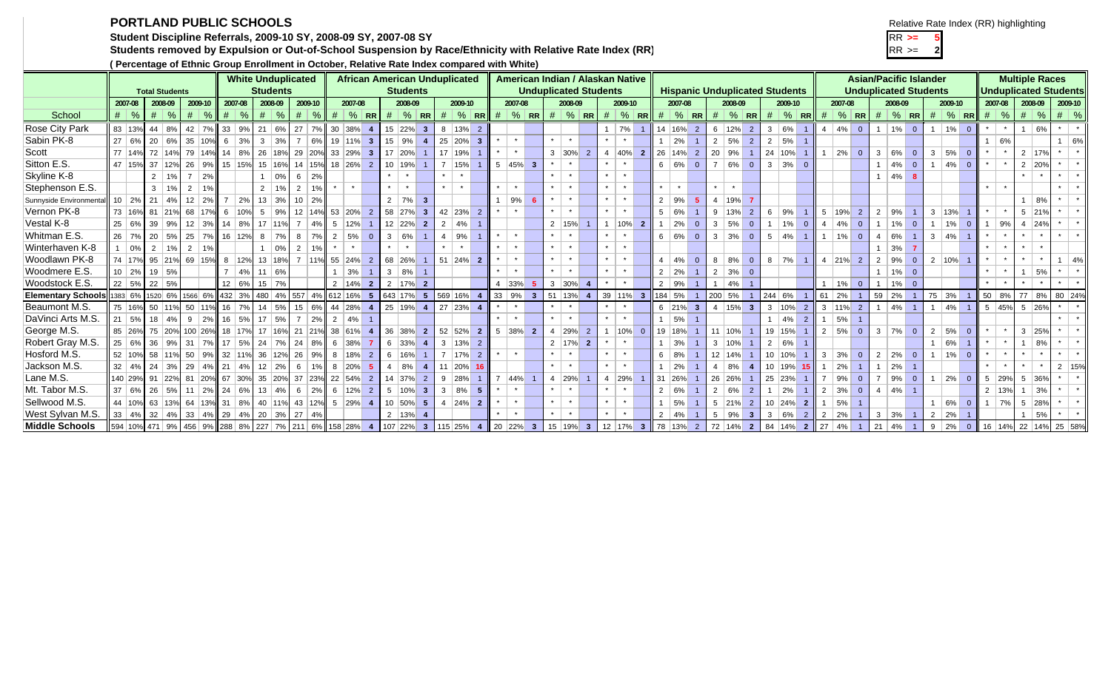## **PORTLAND PUBLIC SCHOOLS**

Example 11 Student Discipline Referrals, 2009-10 SY, 2008-09 SY, 2007-08 SY<br>Students removed by Expulsion or Out-of-School Suspension by Race/Ethnicity with Relative Rate Index (RR) Name 1 Students removed by Expulsion or Out-of-School Suspension by Race/Ethnicity with Relative Rate Index (RR)

**( Percentage of Ethnic Group Enrollment in October, Relative Rate Index compared with White)**

|  |  | Relative Rate Index (RR) highlighting |
|--|--|---------------------------------------|
|  |  |                                       |

| 2<br>ر |  |
|--------|--|

|                              |               |                                                                                                                       | relative index compared with the compared of the compared the compared with willet |                                                         |                 |                  | <b>White Unduplicated</b>        |                 |                 |                                                                                                                  | <b>African American Unduplicated</b> |                 |                    |                           |                      |                           |                         |        | American Indian / Alaskan Native |                         |                 |                 |                |                 |                 |                         |              |              |                |                |                           |                                       |                        |                         |        |                      |                              |                | <b>Asian/Pacific Islander</b> |                |                      |                |            |               | <b>Multiple Races</b>          |    |                      |    |
|------------------------------|---------------|-----------------------------------------------------------------------------------------------------------------------|------------------------------------------------------------------------------------|---------------------------------------------------------|-----------------|------------------|----------------------------------|-----------------|-----------------|------------------------------------------------------------------------------------------------------------------|--------------------------------------|-----------------|--------------------|---------------------------|----------------------|---------------------------|-------------------------|--------|----------------------------------|-------------------------|-----------------|-----------------|----------------|-----------------|-----------------|-------------------------|--------------|--------------|----------------|----------------|---------------------------|---------------------------------------|------------------------|-------------------------|--------|----------------------|------------------------------|----------------|-------------------------------|----------------|----------------------|----------------|------------|---------------|--------------------------------|----|----------------------|----|
|                              |               |                                                                                                                       |                                                                                    |                                                         |                 |                  |                                  |                 |                 |                                                                                                                  |                                      | <b>Students</b> |                    |                           |                      |                           |                         |        | <b>Unduplicated Students</b>     |                         |                 |                 |                |                 |                 |                         |              |              |                |                |                           | <b>Hispanic Unduplicated Students</b> |                        |                         |        |                      | <b>Unduplicated Students</b> |                |                               |                |                      |                |            |               | <b>Unduplicated Students</b>   |    |                      |    |
|                              |               | <b>Students</b><br><b>Total Students</b><br>2007-08<br>2008-09<br>2009-10<br>2009-10<br>2007-08<br>2007-08<br>2008-09 |                                                                                    |                                                         |                 |                  |                                  |                 |                 |                                                                                                                  |                                      |                 |                    |                           |                      |                           |                         |        | 2007-08                          |                         |                 | 2008-09         |                |                 | 2009-10         |                         |              | 2007-08      |                |                | 2008-09                   |                                       |                        | 2009-10                 |        | 2007-08              |                              |                | 2008-09                       |                | 2009-10              |                |            | 2007-08       | 2008-09                        |    | 2009-10              |    |
| School                       | $\#$ %        |                                                                                                                       | $\%$<br>#                                                                          |                                                         | #               | $\%$             | #<br>$\%$                        | #               | $\frac{1}{2}$   | 2008-09<br>2009-10<br>$\#$ % RR<br>% RR # $\frac{4}{10}$ RR # $\frac{4}{10}$ RR #<br>$\frac{9}{6}$ RR<br>#<br> # |                                      |                 |                    |                           |                      |                           |                         |        |                                  |                         |                 |                 | $%$ RR         |                 |                 | $\#$ % RR               |              | #            | $\frac{9}{6}$  | I RR I         | #                         | $\frac{9}{6}$ RR #                    |                        |                         | $%$ RR |                      | $\#$ $\%$ RR                 |                |                               | $\#$ % RR      |                      |                | $\#$ % # % |               | $# \,   \, %$                  |    |                      |    |
|                              | 83 13%        |                                                                                                                       | $44 \mid 8\%$                                                                      | $42 \mid 7\%$                                           | 33 <sup>1</sup> | 9%               |                                  | 6% 27 7% 30 38% |                 |                                                                                                                  |                                      | $\overline{4}$  | 15 22%             |                           |                      | 13%                       |                         |        |                                  |                         |                 |                 |                |                 | 7%              |                         |              | 14 16%       |                |                | 6 12%                     |                                       |                        | 6%                      |        | $4 \mid 4\%$         |                              |                | 1%                            |                | 1%                   |                |            |               |                                |    |                      |    |
| Rose City Park<br>Sabin PK-8 | 27 6%         |                                                                                                                       | 20 6%                                                                              | 35 10%                                                  |                 | $6 \mid 3\%$     | 21<br>$3 \mid 3\%$               | 7 <sup>1</sup>  | 6%              |                                                                                                                  | $19 11\% $ 3                         |                 | $15 \mid 9\%$      | 3 <sup>1</sup>            | -8<br>$\overline{4}$ | 25 20% 3                  | $\overline{2}$          |        |                                  |                         | $\star$         |                 |                |                 | $\star$         |                         |              | 2%           | 2              |                | $2 \mid 5\%$              | 2<br>2 <sup>1</sup>                   | $\mathbf{3}$<br>2   5% |                         |        |                      | $\overline{0}$               |                |                               | $\Omega$       |                      | $\overline{0}$ |            | 6%            |                                | 6% |                      | 6% |
| Scott                        | 77 14%        |                                                                                                                       | 72 14%                                                                             | 79 14%                                                  |                 | $14 \,   \, 8\%$ | 26 18% 29 20% 33 29% 3           |                 |                 |                                                                                                                  |                                      |                 | 17 20%             |                           |                      | 17 19%                    |                         |        | $\star$                          |                         |                 | $3 \,  30\% $   |                |                 | $4 \, 40\%$     |                         |              | $26 14\% 2$  |                |                |                           |                                       | $1 \t24 \t10\%$        |                         |        | $1 \mid 2\% \mid$    |                              |                | 3   6%                        |                | $3 \mid 5\% \mid 0$  |                |            |               | $2 \mid 17\%$                  |    |                      |    |
| Sitton E.S.                  |               |                                                                                                                       |                                                                                    |                                                         |                 |                  |                                  |                 |                 |                                                                                                                  |                                      |                 |                    |                           | $\overline{7}$       |                           |                         |        |                                  |                         |                 |                 | 2              |                 |                 | $\overline{2}$          |              |              |                | 20 9%          |                           |                                       |                        |                         |        |                      | $\overline{0}$               |                |                               | $\overline{0}$ |                      |                |            |               |                                |    |                      |    |
|                              | 47 15%        |                                                                                                                       | 37 12%                                                                             | $26 \mid 9\%$                                           |                 | 15 15%           | 15 16%                           |                 | 14 15% 18 26% 2 |                                                                                                                  |                                      |                 | 10 19%             |                           |                      | 15%                       |                         |        | $5 \mid 45\% \mid 3$             |                         | $\star$         | $\star$         |                | $\star$         | $\rightarrow$   |                         |              | $6   6\%$    | $\overline{0}$ | $\overline{7}$ | 6%                        | $\overline{0}$                        | $\mathbf{3}$           | $3\%$ 0                 |        |                      |                              |                | 4%                            | $\Omega$       | $ 4\% $ 0            |                |            |               | 2 20%                          |    |                      |    |
| Skyline K-8                  |               |                                                                                                                       | $2 \mid 1\%$                                                                       | $7 \mid 2\%$                                            |                 |                  | $1 \cdot 0\%$                    | $6 \mid 2\%$    |                 |                                                                                                                  | $\star$                              |                 |                    |                           |                      |                           |                         |        |                                  |                         |                 | $\star$         |                | $\star$ 1       | $\star$         |                         | $\star$      |              |                |                |                           |                                       |                        |                         |        |                      |                              |                | 4%                            |                |                      |                |            |               |                                |    |                      |    |
| Stephenson E.S.              |               |                                                                                                                       | $3 \mid 1\%$                                                                       | $2 \mid 1\%$                                            |                 |                  | $2 \mid 1\%$                     | 2 <sup>1</sup>  | 1%              |                                                                                                                  |                                      |                 |                    |                           |                      |                           |                         |        |                                  |                         |                 | $\star$ $\star$ |                |                 | $\star$ $\star$ |                         |              |              |                |                |                           |                                       |                        |                         |        |                      |                              |                |                               |                |                      |                |            |               |                                |    |                      |    |
| Sunnyside Environmental      | $10 \mid 2\%$ |                                                                                                                       | $21 \, 4\%$                                                                        | $12 \mid 2\%$                                           |                 | 7   2%           | 13 3% 10 2%                      |                 |                 |                                                                                                                  |                                      |                 | $2 \mid 7\%$       | $\mathbf{3}$              |                      |                           |                         |        | 9%                               |                         | $\star$         | $\star$         |                | $\star$ $\star$ |                 |                         |              | $2 \mid 9\%$ | -5             |                | 4   19%                   |                                       |                        |                         |        |                      |                              |                |                               |                |                      |                | $\star$    |               |                                | 8% |                      |    |
| Vernon PK-8                  |               |                                                                                                                       | 73 16% 81 21%                                                                      | 68 17%                                                  |                 | $6 \mid 10\%$    | $5 \mid 9\%$                     |                 | 12 14% 53 20% 2 |                                                                                                                  |                                      |                 | 58 27%             |                           | 3 <sup>1</sup>       | 42 23% 2                  |                         |        |                                  |                         |                 |                 |                |                 |                 |                         |              | $5 \, 6\%$   |                |                | $9 \mid 13\%$             | 2                                     | $6 \mid 9\%$           |                         |        | $5 \vert 19\% \vert$ | $\overline{2}$               |                | $2 \mid 9\%$                  |                | $3 \mid 13\% \mid 1$ |                |            |               | $5 \, 21\%$                    |    |                      |    |
| Vestal K-8                   | 25 6%         |                                                                                                                       | $39 \mid 9\%$                                                                      | $12 \mid 3\%$                                           |                 | 14   8%          | 17 11%                           | $7 \mid 4\%$    |                 | $5 \mid 12\%$                                                                                                    |                                      |                 |                    | $12 \ 22\%$ 2             |                      | 2 <sup>1</sup><br>4%      |                         |        |                                  |                         | $\star$         | 2   15%         |                | $\star$         | 10%             | $\overline{2}$          |              | 2%           | $\mathbf{0}$   |                | $3 \mid 5\%$              | $\overline{0}$                        |                        | 1%<br>$\overline{0}$    | $-4$   | 4%                   | $\overline{0}$               | $\overline{1}$ | 1%                            | $\overline{0}$ | $ 1\% $              | $\overline{0}$ |            | 9%            | $4 \overline{24\%}$            |    |                      |    |
| Whitman E.S.                 | 26 7%         |                                                                                                                       | 20 5%                                                                              | $25$ 7%                                                 |                 | 16 12%           | $8 \mid 7\%$                     | 8 <sup>1</sup>  | 7%              | 2   5%                                                                                                           |                                      | $\Omega$        | 3 6%               |                           |                      | $4 \vert$<br>9%           |                         |        |                                  |                         |                 | $\star$         |                |                 | $\star$         |                         |              | $6   6\%  $  | $\overline{0}$ |                | $3 \mid 3\%$              | $\overline{0}$                        | $5   4\%  $            |                         |        | $1\%$                | $\overline{0}$               |                | 4   6%                        |                | 3   4%               |                |            |               |                                |    |                      |    |
| Winterhaven K-8              |               | $\sqrt{0\%}$                                                                                                          | $2 \mid 1\%$                                                                       | $2 \mid 1\%$                                            |                 |                  | $1 \ 0\%$                        | 2               | 19              |                                                                                                                  |                                      |                 |                    |                           |                      |                           |                         |        |                                  |                         | $\star$         | $\star$         |                | $\star$         | $\star$         |                         |              |              |                |                |                           |                                       |                        |                         |        |                      |                              |                | 3%                            |                |                      |                |            |               |                                |    |                      |    |
| Woodlawn PK-8                |               |                                                                                                                       | 74 17% 95 21% 69 15%                                                               |                                                         |                 | 8 12%            | $13 \mid 18\%$ 7 $11\%$ 55 24% 2 |                 |                 |                                                                                                                  |                                      |                 | 68 26%             |                           |                      | $51 \ 24\%$ 2             |                         |        |                                  |                         |                 | $*$ $*$         |                | $\star$ $\star$ |                 |                         | $\mathbf{A}$ | 4%           | $\overline{0}$ |                | $8 \mid 8\%$              | $\overline{0}$                        | $8 \mid 7\%$           |                         |        | $4 \t 21\%$ 2        |                              |                | $2 \mid 9\%$                  | $\overline{0}$ | $2 10\% 1$           |                |            |               |                                |    |                      | 4% |
| Woodmere E.S.                | $10 \mid 2\%$ |                                                                                                                       | 19 5%                                                                              |                                                         |                 | 4%               | 11   6%                          |                 |                 |                                                                                                                  | 3%                                   |                 | $3 \mid 8\%$       |                           |                      |                           |                         |        |                                  |                         | $\star$         | $\star$         |                | $\star$         | $\star$         |                         |              | $2 \mid 2\%$ |                |                | $2 \mid 3\%$              | $\overline{0}$                        |                        |                         |        |                      |                              |                | 1%                            | $\overline{0}$ |                      |                |            |               |                                | 5% |                      |    |
| <b>Woodstock E.S</b>         |               | 22   5%                                                                                                               | $22 \mid 5\%$                                                                      |                                                         |                 | 12 6%            | $15 \mid 7\%$                    |                 |                 | 2 14%                                                                                                            |                                      | $\overline{2}$  |                    | $2 \mid 17\% \mid 2$      |                      |                           |                         |        | 4 33%                            |                         |                 | $3 \mid 30\%$   |                |                 | $\star$         |                         |              | $2 \mid 9\%$ |                |                | $1 \mid 4\%$              |                                       |                        |                         |        | 1%                   | $\Omega$                     |                | 1%                            | $\Omega$       |                      |                |            |               |                                |    |                      |    |
| <b>Elementary Schools</b>    |               |                                                                                                                       | 1383 6% 1520 6%                                                                    | 1566 6%                                                 |                 | 432 3%           | 480 4% 557 4% 612 16%            |                 |                 |                                                                                                                  |                                      | 5 <sub>5</sub>  |                    | 643 17% 5 569 16%         |                      |                           | $\overline{\mathbf{4}}$ |        | $\parallel$ 33   9%              | $\overline{\mathbf{3}}$ |                 | 51 13%          |                |                 | 39 11%          | $\overline{\mathbf{3}}$ |              | 184 5%       |                | 200 5%         |                           |                                       | 244 6%                 |                         |        | $61 \ 2\%$           |                              |                | $59 \mid 2\%$                 |                | 75 3%                |                |            |               | 50 8% 77 8%                    |    | 80 24%               |    |
| Beaumont M.S.                | 75 16%        |                                                                                                                       | 50 11%                                                                             | 50 11%                                                  |                 | 16 7%            | $14$ 5% 15 6% 44 28% 4           |                 |                 |                                                                                                                  |                                      |                 |                    | 25 19% 4                  |                      | 27 23% 4                  |                         |        |                                  |                         | $\star$         | $\star$         |                | $\star$         | $\star$         |                         |              | $6 \ 21\%$ 3 |                |                | $4 \mid 15\% \mid 3 \mid$ |                                       |                        | $3 10\% 2$              |        | $3 \mid 11\% \mid 2$ |                              |                | 4%                            |                | 1   4%               |                |            |               | $5 \mid 45\% \mid 5 \mid 26\%$ |    |                      |    |
| DaVinci Arts M.S.            | $21 \mid 5\%$ |                                                                                                                       | $18 \mid 4\%$                                                                      | $9 \mid 2\%$                                            |                 |                  | $16$ 5% 17 5% 7 2%               |                 |                 | 2   4%                                                                                                           |                                      |                 |                    |                           |                      |                           |                         |        |                                  |                         | $\star$         | $\star$         |                | $\star$         | $\star$         |                         |              | 5%           |                |                |                           |                                       |                        | $4\%$<br>$\overline{2}$ |        | 5%                   | $\overline{1}$               |                |                               |                |                      |                |            |               |                                |    |                      |    |
| George M.S.                  | 85 26%        |                                                                                                                       | 75 20%                                                                             | 100 26%                                                 |                 | 18 17%           | 17 16% 21 21% 38 61%             |                 |                 |                                                                                                                  |                                      | $\overline{4}$  |                    | 36 38% 2                  |                      | 52 52%                    |                         | - 2 II | $5 \, 38\%$ 2                    |                         |                 | 4 29%           | 2              |                 | 10%             |                         |              | 19 18%       |                |                | 11 10%                    |                                       | 19 15%                 |                         |        | $2 \mid 5\%$         | $\overline{0}$               |                | $3 \mid 7\%$                  | $\overline{0}$ | 2   5%               | $\overline{0}$ |            |               | $3 \mid 25\%$                  |    |                      |    |
| Robert Gray M.S.             | 25 6%         |                                                                                                                       | 36 9%                                                                              | $31 \mid 7\%$                                           |                 |                  | $17$ 5% 24 7% 24 8% 6 38%        |                 |                 |                                                                                                                  |                                      | $\overline{7}$  | $6 \,  33\% $      |                           | $\overline{4}$       | $3 \mid 13\% \mid 2$      |                         |        |                                  |                         |                 | $2 \mid 17\%$   | $\overline{2}$ |                 | $\star$         |                         |              | $1 \ 3\%$    |                |                | $3 \mid 10\%$             |                                       | $2   6\%$              |                         |        |                      |                              |                |                               |                | 6%                   |                | $\star$    |               |                                | 8% |                      |    |
| Hosford M.S.                 | 52 10%        |                                                                                                                       | 58 11%                                                                             | 50   9%                                                 |                 |                  | 32 11% 36 12% 26 9% 8 18% 2      |                 |                 |                                                                                                                  |                                      |                 | $6 \mid 16\%$      |                           |                      | $7 \mid 17\% \mid 2 \mid$ |                         |        |                                  |                         |                 |                 |                |                 | $\star$         |                         |              | $6 \mid 8\%$ |                |                | 12 14%                    |                                       | $10 10\% $             |                         |        | $3 \mid 3\%$         | $\overline{0}$               |                | $2 \mid 2\%$                  | $\overline{0}$ | 1%                   | $\overline{0}$ |            |               |                                |    |                      |    |
| Jackson M.S.                 | $32 \mid 4\%$ |                                                                                                                       | $24 \mid 3\%$                                                                      | $29 \mid 4\% \mid$                                      |                 | 21   4%          | $12 \mid 2\% \mid$               |                 | 6 1% 8 20% 5    |                                                                                                                  |                                      |                 | $4 \,   \, 8\%$    |                           |                      | 11 20% 16                 |                         |        |                                  |                         | $\star$ $\star$ |                 |                | $\star$ $\star$ |                 |                         |              | 2%           |                |                | 4   8%                    |                                       |                        | $10$ 19% 15             |        | 2%                   | $\overline{1}$               |                | $1 \mid 2\%$                  |                |                      |                |            |               |                                |    | 2 15%                |    |
| Lane M.S.                    |               | 140 29%                                                                                                               | 91 22% 81 20% 67 30% 35 20% 37 23% 22 54% 2                                        |                                                         |                 |                  |                                  |                 |                 |                                                                                                                  |                                      |                 |                    | $14 \overline{37\%}$ 2    |                      | $9 \mid 28\% \mid 1 \mid$ |                         |        | $7  44\%  1$                     |                         |                 | 4 29%           |                |                 | 4 29%           |                         |              | 31 26%       |                |                | 26 26%                    |                                       | 25 23%                 |                         |        | 7 9%                 | $\overline{0}$               |                | $7 \mid 9\%$                  |                | 2%                   | $\overline{0}$ |            | $5 \mid 29\%$ | $5 \, \, 36\%$                 |    |                      |    |
| Mt. Tabor M.S.               | 37 6%         |                                                                                                                       | $26 \mid 5\%$                                                                      | $11 \,   \, 2\%$                                        |                 | 24 6%            | $13 \mid 4\%$                    | $6 \mid 2\%$    |                 |                                                                                                                  | $6 \mid 12\% \mid 2$                 |                 |                    | $5 \mid 10\% \mid 3 \mid$ |                      | $3   8\%  $               | $-57$                   |        |                                  |                         | $\star$         | $\star$         |                | $\star$         | $\star$         |                         |              | 2   6%       |                |                | $2 \mid 6\%$              |                                       |                        | 2%                      |        | $2 \mid 3\%$         | $\overline{0}$               |                | $4 \mid 4\%$                  |                |                      |                |            | 2 13%         |                                | 3% |                      |    |
| Sellwood M.S.                |               |                                                                                                                       | 44 10% 63 13% 64 13% 31 8%                                                         |                                                         |                 |                  | 40 11% 43 12% 5 29% 4            |                 |                 |                                                                                                                  |                                      |                 |                    | 10 50% 5                  |                      | $4 \mid 24\% \mid 2$      |                         |        |                                  |                         | $\star$         | $\star$         |                | $\star$         | $\rightarrow$   |                         |              | 5%           |                |                | $5 \,  21\% $             | $\overline{2}$                        |                        | $10 \ 24\%$ 2           |        | 5%                   | $\overline{1}$               |                |                               |                | 6%                   | $\overline{0}$ | 1          | 7%            | $5 \mid 28\%$                  |    |                      |    |
| West Sylvan M.S.             |               |                                                                                                                       | $33   4\%   32   4\%$                                                              | $33   4\%   29   4\%   20   3\%   27   4\%$             |                 |                  |                                  |                 |                 |                                                                                                                  |                                      |                 | $2 \mid 13\% \mid$ |                           |                      |                           |                         |        |                                  |                         |                 | $\star$         |                | $\star$         | $\star$         |                         |              | $2 \mid 4\%$ |                |                | $5 \mid 9\%$              | 3 <sup>1</sup>                        | 3   6%                 | $\overline{2}$          |        | $2 \mid 2\%$         | $\overline{1}$               |                | $3 \mid 3\%$                  |                | $2 \mid 2\%$         |                |            |               |                                | 5% |                      |    |
| <b>Middle Schools</b>        |               |                                                                                                                       | 594 10% 471 9%                                                                     | 456 9% 288 8% 227 7% 211 6% 158 28% 4 107 22% 3 115 25% |                 |                  |                                  |                 |                 |                                                                                                                  |                                      |                 |                    |                           |                      |                           |                         |        | $4$ 20 22% 3                     |                         |                 | 15 19%          | 3 12 17%       |                 |                 | 3 <sup>1</sup>          |              | 78 13% 2     |                |                | 72 14%                    |                                       | 2 84 14%               | $\overline{2}$          |        | $\vert$ 27 4%        | $\overline{1}$               |                | $21 \mid 4\%$                 |                | $9 \mid 2\%$         | $\overline{0}$ |            |               |                                |    | 16 14% 22 14% 25 58% |    |